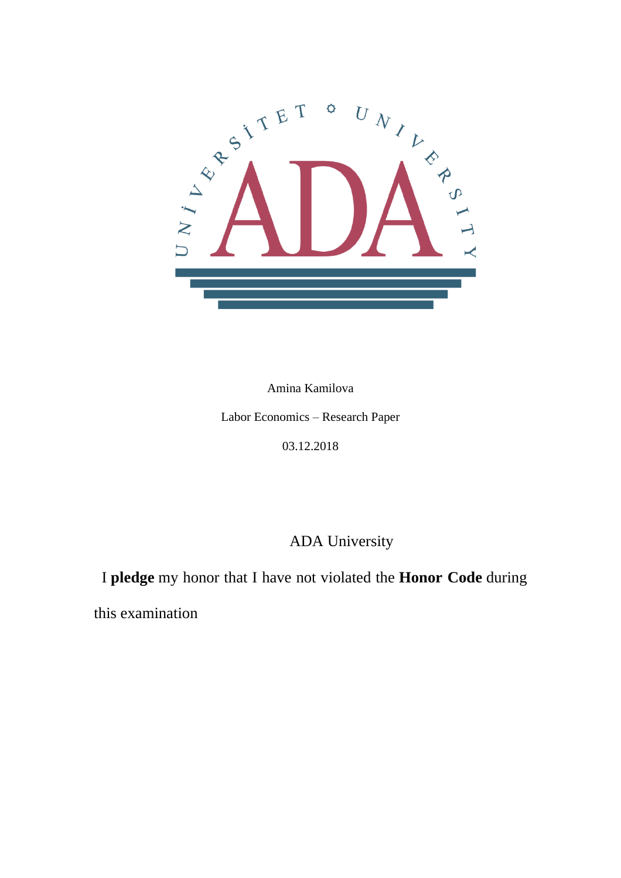

Amina Kamilova

Labor Economics – Research Paper

03.12.2018

ADA University

I **pledge** my honor that I have not violated the **Honor Code** during

this examination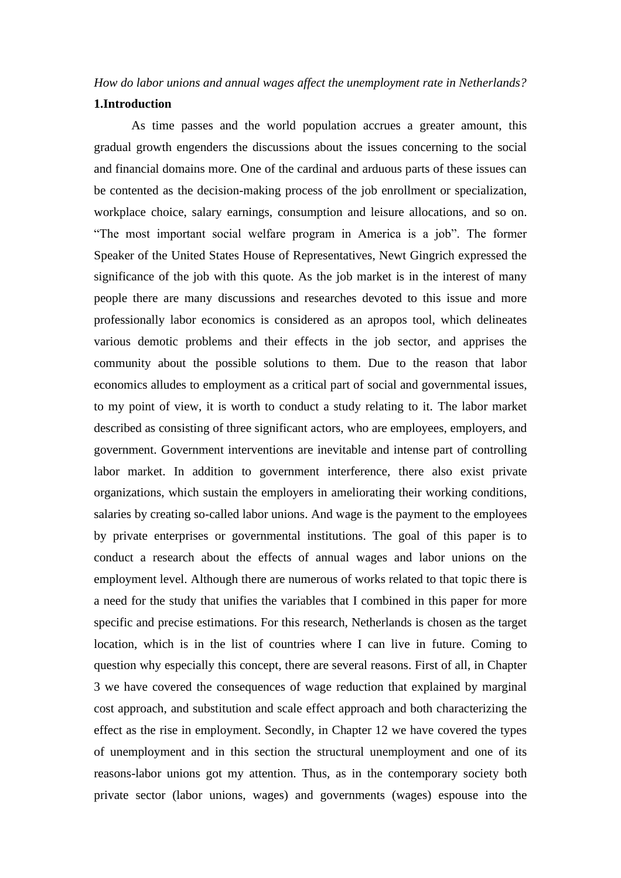# *How do labor unions and annual wages affect the unemployment rate in Netherlands?*

#### **1.Introduction**

As time passes and the world population accrues a greater amount, this gradual growth engenders the discussions about the issues concerning to the social and financial domains more. One of the cardinal and arduous parts of these issues can be contented as the decision-making process of the job enrollment or specialization, workplace choice, salary earnings, consumption and leisure allocations, and so on. "The most important social welfare program in America is a job". The former Speaker of the United States House of Representatives, Newt Gingrich expressed the significance of the job with this quote. As the job market is in the interest of many people there are many discussions and researches devoted to this issue and more professionally labor economics is considered as an apropos tool, which delineates various demotic problems and their effects in the job sector, and apprises the community about the possible solutions to them. Due to the reason that labor economics alludes to employment as a critical part of social and governmental issues, to my point of view, it is worth to conduct a study relating to it. The labor market described as consisting of three significant actors, who are employees, employers, and government. Government interventions are inevitable and intense part of controlling labor market. In addition to government interference, there also exist private organizations, which sustain the employers in ameliorating their working conditions, salaries by creating so-called labor unions. And wage is the payment to the employees by private enterprises or governmental institutions. The goal of this paper is to conduct a research about the effects of annual wages and labor unions on the employment level. Although there are numerous of works related to that topic there is a need for the study that unifies the variables that I combined in this paper for more specific and precise estimations. For this research, Netherlands is chosen as the target location, which is in the list of countries where I can live in future. Coming to question why especially this concept, there are several reasons. First of all, in Chapter 3 we have covered the consequences of wage reduction that explained by marginal cost approach, and substitution and scale effect approach and both characterizing the effect as the rise in employment. Secondly, in Chapter 12 we have covered the types of unemployment and in this section the structural unemployment and one of its reasons-labor unions got my attention. Thus, as in the contemporary society both private sector (labor unions, wages) and governments (wages) espouse into the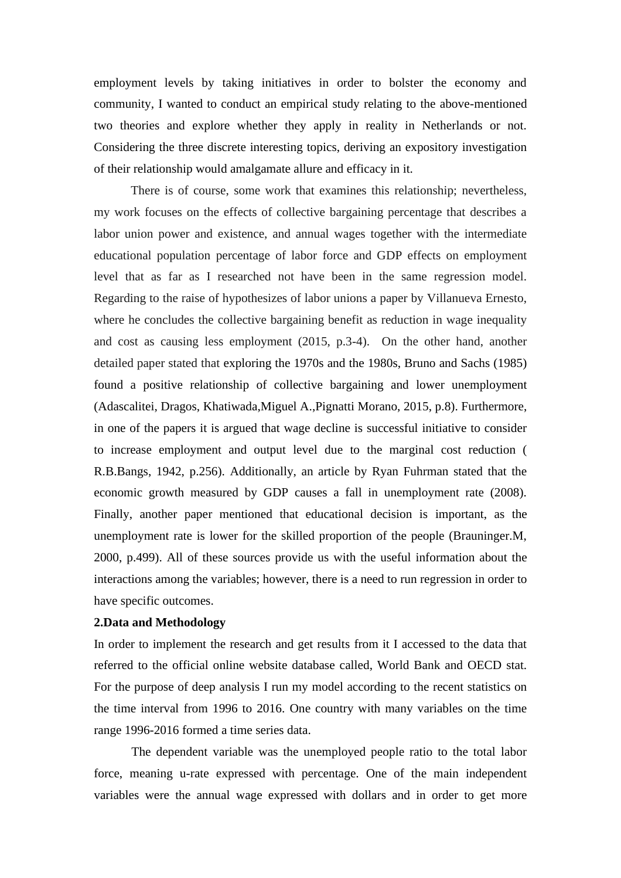employment levels by taking initiatives in order to bolster the economy and community, I wanted to conduct an empirical study relating to the above-mentioned two theories and explore whether they apply in reality in Netherlands or not. Considering the three discrete interesting topics, deriving an expository investigation of their relationship would amalgamate allure and efficacy in it.

There is of course, some work that examines this relationship; nevertheless, my work focuses on the effects of collective bargaining percentage that describes a labor union power and existence, and annual wages together with the intermediate educational population percentage of labor force and GDP effects on employment level that as far as I researched not have been in the same regression model. Regarding to the raise of hypothesizes of labor unions a paper by Villanueva Ernesto, where he concludes the collective bargaining benefit as reduction in wage inequality and cost as causing less employment (2015, p.3-4). On the other hand, another detailed paper stated that exploring the 1970s and the 1980s, Bruno and Sachs (1985) found a positive relationship of collective bargaining and lower unemployment (Adascalitei, Dragos, Khatiwada,Miguel A.,Pignatti Morano, 2015, p.8). Furthermore, in one of the papers it is argued that wage decline is successful initiative to consider to increase employment and output level due to the marginal cost reduction ( R.B.Bangs, 1942, p.256). Additionally, an article by Ryan Fuhrman stated that the economic growth measured by GDP causes a fall in unemployment rate (2008). Finally, another paper mentioned that educational decision is important, as the unemployment rate is lower for the skilled proportion of the people (Brauninger.M, 2000, p.499). All of these sources provide us with the useful information about the interactions among the variables; however, there is a need to run regression in order to have specific outcomes.

### **2.Data and Methodology**

In order to implement the research and get results from it I accessed to the data that referred to the official online website database called, World Bank and OECD stat. For the purpose of deep analysis I run my model according to the recent statistics on the time interval from 1996 to 2016. One country with many variables on the time range 1996-2016 formed a time series data.

The dependent variable was the unemployed people ratio to the total labor force, meaning u-rate expressed with percentage. One of the main independent variables were the annual wage expressed with dollars and in order to get more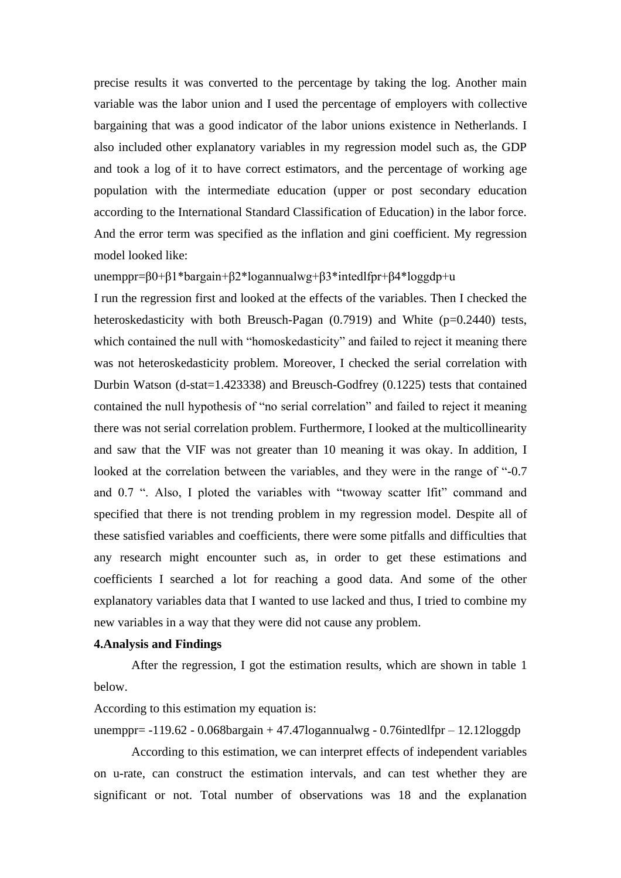precise results it was converted to the percentage by taking the log. Another main variable was the labor union and I used the percentage of employers with collective bargaining that was a good indicator of the labor unions existence in Netherlands. I also included other explanatory variables in my regression model such as, the GDP and took a log of it to have correct estimators, and the percentage of working age population with the intermediate education (upper or post secondary education according to the International Standard Classification of Education) in the labor force. And the error term was specified as the inflation and gini coefficient. My regression model looked like:

unemppr=β0+β1\*bargain+β2\*logannualwg+β3\*intedlfpr+β4\*loggdp+u

I run the regression first and looked at the effects of the variables. Then I checked the heteroskedasticity with both Breusch-Pagan (0.7919) and White (p=0.2440) tests, which contained the null with "homoskedasticity" and failed to reject it meaning there was not heteroskedasticity problem. Moreover, I checked the serial correlation with Durbin Watson (d-stat=1.423338) and Breusch-Godfrey (0.1225) tests that contained contained the null hypothesis of "no serial correlation" and failed to reject it meaning there was not serial correlation problem. Furthermore, I looked at the multicollinearity and saw that the VIF was not greater than 10 meaning it was okay. In addition, I looked at the correlation between the variables, and they were in the range of "-0.7 and 0.7 ". Also, I ploted the variables with "twoway scatter lfit" command and specified that there is not trending problem in my regression model. Despite all of these satisfied variables and coefficients, there were some pitfalls and difficulties that any research might encounter such as, in order to get these estimations and coefficients I searched a lot for reaching a good data. And some of the other explanatory variables data that I wanted to use lacked and thus, I tried to combine my new variables in a way that they were did not cause any problem.

#### **4.Analysis and Findings**

After the regression, I got the estimation results, which are shown in table 1 below.

According to this estimation my equation is:

unemppr=  $-119.62 - 0.068$ bargain + 47.47logannualwg - 0.76intedlfpr – 12.12loggdp

According to this estimation, we can interpret effects of independent variables on u-rate, can construct the estimation intervals, and can test whether they are significant or not. Total number of observations was 18 and the explanation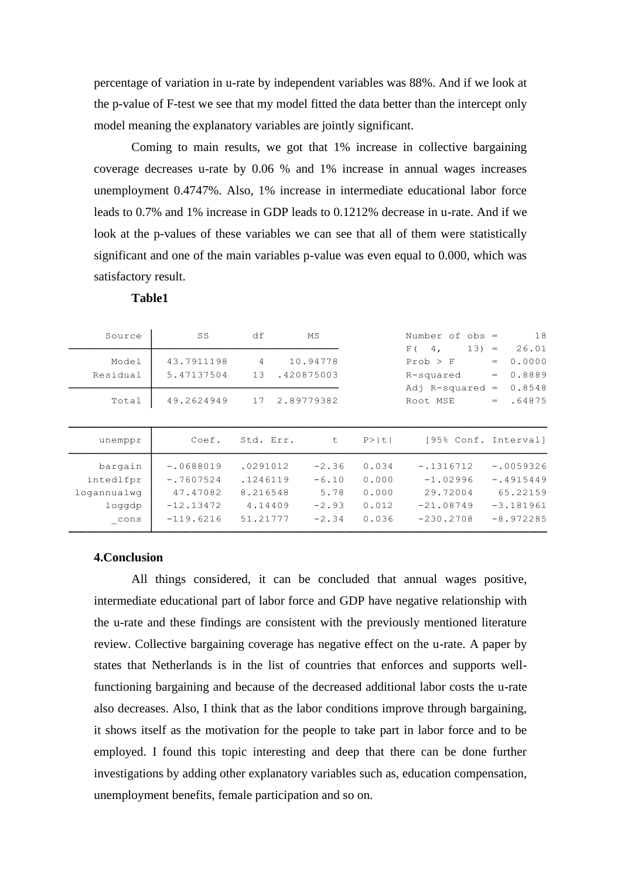percentage of variation in u-rate by independent variables was 88%. And if we look at the p-value of F-test we see that my model fitted the data better than the intercept only model meaning the explanatory variables are jointly significant.

Coming to main results, we got that 1% increase in collective bargaining coverage decreases u-rate by 0.06 % and 1% increase in annual wages increases unemployment 0.4747%. Also, 1% increase in intermediate educational labor force leads to 0.7% and 1% increase in GDP leads to 0.1212% decrease in u-rate. And if we look at the p-values of these variables we can see that all of them were statistically significant and one of the main variables p-value was even equal to 0.000, which was satisfactory result.

| Source                       | SS          | df             | MS         |        | Number of $obs =$               | 18            |
|------------------------------|-------------|----------------|------------|--------|---------------------------------|---------------|
|                              |             |                |            |        | $13) =$<br>4 <sub>1</sub><br>F( | 26.01         |
| Model                        | 43.7911198  | $\overline{4}$ | 10.94778   |        | $Prob$ > $F$                    | 0.0000<br>$=$ |
| Residual                     | 5.47137504  | 13             | .420875003 |        | R-squared                       | 0.8889<br>$=$ |
|                              |             |                |            |        | Adj R-squared                   | 0.8548<br>$=$ |
| Total                        | 49.2624949  | 17             | 2.89779382 |        | Root MSE                        | .64875<br>$=$ |
|                              |             |                |            |        |                                 |               |
|                              |             |                |            |        |                                 |               |
| unemppr                      | Coef.       | Std. Err.      | t          | P >  t | [95% Conf. Interval]            |               |
|                              |             |                |            |        |                                 |               |
| bargain                      | $-.0688019$ | .0291012       | $-2.36$    | 0.034  | $-.1316712$                     | $-10059326$   |
| intedlfpr                    | $-.7607524$ | .1246119       | $-6.10$    | 0.000  | $-1.02996$                      | $-14915449$   |
| logannualwg                  | 47.47082    | 8.216548       | 5.78       | 0.000  | 29.72004                        | 65.22159      |
| loqqdp                       | $-12.13472$ | 4.14409        | $-2.93$    | 0.012  | $-21.08749$                     | $-3.181961$   |
| $\mathsf{L}^{\mathsf{cons}}$ | $-119.6216$ | 51.21777       | $-2.34$    | 0.036  | $-230.2708$                     | $-8.972285$   |
|                              |             |                |            |        |                                 |               |

| n<br>I.<br>н<br>., |
|--------------------|
|--------------------|

#### **4.Conclusion**

All things considered, it can be concluded that annual wages positive, intermediate educational part of labor force and GDP have negative relationship with the u-rate and these findings are consistent with the previously mentioned literature review. Collective bargaining coverage has negative effect on the u-rate. A paper by states that Netherlands is in the list of countries that enforces and supports wellfunctioning bargaining and because of the decreased additional labor costs the u-rate also decreases. Also, I think that as the labor conditions improve through bargaining, it shows itself as the motivation for the people to take part in labor force and to be employed. I found this topic interesting and deep that there can be done further investigations by adding other explanatory variables such as, education compensation, unemployment benefits, female participation and so on.